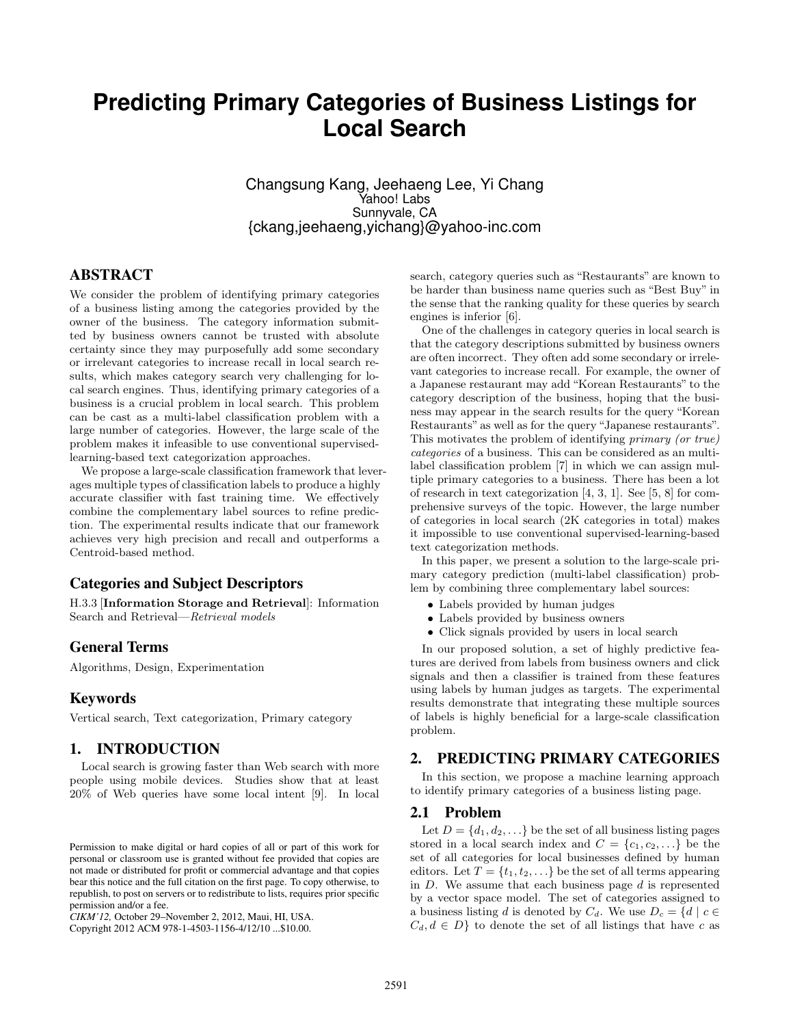# **Predicting Primary Categories of Business Listings for Local Search**

Changsung Kang, Jeehaeng Lee, Yi Chang Yahoo! Labs Sunnyvale, CA {ckang,jeehaeng,yichang}@yahoo-inc.com

# ABSTRACT

We consider the problem of identifying primary categories of a business listing among the categories provided by the owner of the business. The category information submitted by business owners cannot be trusted with absolute certainty since they may purposefully add some secondary or irrelevant categories to increase recall in local search results, which makes category search very challenging for local search engines. Thus, identifying primary categories of a business is a crucial problem in local search. This problem can be cast as a multi-label classification problem with a large number of categories. However, the large scale of the problem makes it infeasible to use conventional supervisedlearning-based text categorization approaches.

We propose a large-scale classification framework that leverages multiple types of classification labels to produce a highly accurate classifier with fast training time. We effectively combine the complementary label sources to refine prediction. The experimental results indicate that our framework achieves very high precision and recall and outperforms a Centroid-based method.

# Categories and Subject Descriptors

H.3.3 [Information Storage and Retrieval]: Information Search and Retrieval—Retrieval models

# General Terms

Algorithms, Design, Experimentation

# Keywords

Vertical search, Text categorization, Primary category

# 1. INTRODUCTION

Local search is growing faster than Web search with more people using mobile devices. Studies show that at least 20% of Web queries have some local intent [9]. In local

search, category queries such as "Restaurants" are known to be harder than business name queries such as "Best Buy" in the sense that the ranking quality for these queries by search engines is inferior [6].

One of the challenges in category queries in local search is that the category descriptions submitted by business owners are often incorrect. They often add some secondary or irrelevant categories to increase recall. For example, the owner of a Japanese restaurant may add "Korean Restaurants" to the category description of the business, hoping that the business may appear in the search results for the query "Korean Restaurants" as well as for the query "Japanese restaurants". This motivates the problem of identifying primary (or true) categories of a business. This can be considered as an multilabel classification problem [7] in which we can assign multiple primary categories to a business. There has been a lot of research in text categorization [4, 3, 1]. See [5, 8] for comprehensive surveys of the topic. However, the large number of categories in local search (2K categories in total) makes it impossible to use conventional supervised-learning-based text categorization methods.

In this paper, we present a solution to the large-scale primary category prediction (multi-label classification) problem by combining three complementary label sources:

- Labels provided by human judges
- Labels provided by business owners
- Click signals provided by users in local search

In our proposed solution, a set of highly predictive features are derived from labels from business owners and click signals and then a classifier is trained from these features using labels by human judges as targets. The experimental results demonstrate that integrating these multiple sources of labels is highly beneficial for a large-scale classification problem.

# 2. PREDICTING PRIMARY CATEGORIES

In this section, we propose a machine learning approach to identify primary categories of a business listing page.

#### 2.1 Problem

Let  $D = \{d_1, d_2, \ldots\}$  be the set of all business listing pages stored in a local search index and  $C = \{c_1, c_2, \ldots\}$  be the set of all categories for local businesses defined by human editors. Let  $T = \{t_1, t_2, \ldots\}$  be the set of all terms appearing in  $D$ . We assume that each business page  $d$  is represented by a vector space model. The set of categories assigned to a business listing d is denoted by  $C_d$ . We use  $D_c = \{d \mid c \in$  $C_d, d \in D$  to denote the set of all listings that have c as

Permission to make digital or hard copies of all or part of this work for personal or classroom use is granted without fee provided that copies are not made or distributed for profit or commercial advantage and that copies bear this notice and the full citation on the first page. To copy otherwise, to republish, to post on servers or to redistribute to lists, requires prior specific permission and/or a fee.

*CIKM'12,* October 29–November 2, 2012, Maui, HI, USA.

Copyright 2012 ACM 978-1-4503-1156-4/12/10 ...\$10.00.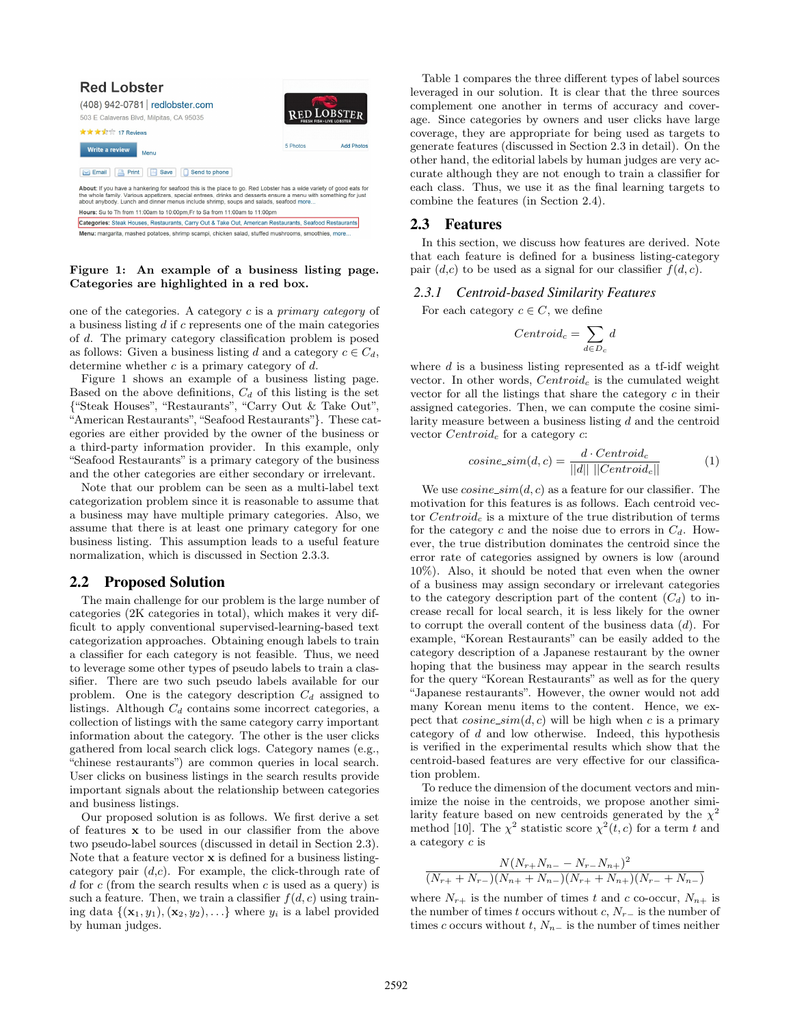

Menu: margarita, mashed potatoes, shrimp scampi, chicken salad, stuffed mushrooms, smoothies, more

#### Figure 1: An example of a business listing page. Categories are highlighted in a red box.

one of the categories. A category c is a primary category of a business listing d if c represents one of the main categories of d. The primary category classification problem is posed as follows: Given a business listing d and a category  $c \in C_d$ , determine whether  $c$  is a primary category of  $d$ .

Figure 1 shows an example of a business listing page. Based on the above definitions,  $C_d$  of this listing is the set {"Steak Houses", "Restaurants", "Carry Out & Take Out", "American Restaurants", "Seafood Restaurants"}. These categories are either provided by the owner of the business or a third-party information provider. In this example, only "Seafood Restaurants" is a primary category of the business and the other categories are either secondary or irrelevant.

Note that our problem can be seen as a multi-label text categorization problem since it is reasonable to assume that a business may have multiple primary categories. Also, we assume that there is at least one primary category for one business listing. This assumption leads to a useful feature normalization, which is discussed in Section 2.3.3.

### 2.2 Proposed Solution

The main challenge for our problem is the large number of categories (2K categories in total), which makes it very difficult to apply conventional supervised-learning-based text categorization approaches. Obtaining enough labels to train a classifier for each category is not feasible. Thus, we need to leverage some other types of pseudo labels to train a classifier. There are two such pseudo labels available for our problem. One is the category description  $C_d$  assigned to listings. Although  $C_d$  contains some incorrect categories, a collection of listings with the same category carry important information about the category. The other is the user clicks gathered from local search click logs. Category names (e.g., "chinese restaurants") are common queries in local search. User clicks on business listings in the search results provide important signals about the relationship between categories and business listings.

Our proposed solution is as follows. We first derive a set of features x to be used in our classifier from the above two pseudo-label sources (discussed in detail in Section 2.3). Note that a feature vector  $x$  is defined for a business listingcategory pair  $(d, c)$ . For example, the click-through rate of d for c (from the search results when c is used as a query) is such a feature. Then, we train a classifier  $f(d, c)$  using training data  $\{(\mathbf{x}_1, y_1), (\mathbf{x}_2, y_2), \ldots\}$  where  $y_i$  is a label provided by human judges.

Table 1 compares the three different types of label sources leveraged in our solution. It is clear that the three sources complement one another in terms of accuracy and coverage. Since categories by owners and user clicks have large coverage, they are appropriate for being used as targets to generate features (discussed in Section 2.3 in detail). On the other hand, the editorial labels by human judges are very accurate although they are not enough to train a classifier for each class. Thus, we use it as the final learning targets to combine the features (in Section 2.4).

#### 2.3 Features

In this section, we discuss how features are derived. Note that each feature is defined for a business listing-category pair  $(d, c)$  to be used as a signal for our classifier  $f(d, c)$ .

#### *2.3.1 Centroid-based Similarity Features*

For each category  $c \in C$ , we define

$$
Centroid_c = \sum_{d \in D_c} d
$$

where  $d$  is a business listing represented as a tf-idf weight vector. In other words,  $Centroid<sub>c</sub>$  is the cumulated weight vector for all the listings that share the category c in their assigned categories. Then, we can compute the cosine similarity measure between a business listing d and the centroid vector  $Centroid<sub>c</sub>$  for a category  $c$ :

$$
cosine\_sim(d, c) = \frac{d \cdot Centroid_c}{||d|| ||Centroid_c||}
$$
 (1)

We use  $cosine\_sim(d, c)$  as a feature for our classifier. The motivation for this features is as follows. Each centroid vector  $Centroid<sub>c</sub>$  is a mixture of the true distribution of terms for the category c and the noise due to errors in  $C_d$ . However, the true distribution dominates the centroid since the error rate of categories assigned by owners is low (around 10%). Also, it should be noted that even when the owner of a business may assign secondary or irrelevant categories to the category description part of the content  $(C_d)$  to increase recall for local search, it is less likely for the owner to corrupt the overall content of the business data (d). For example, "Korean Restaurants" can be easily added to the category description of a Japanese restaurant by the owner hoping that the business may appear in the search results for the query "Korean Restaurants" as well as for the query "Japanese restaurants". However, the owner would not add many Korean menu items to the content. Hence, we expect that  $cosine\_sim(d, c)$  will be high when c is a primary category of d and low otherwise. Indeed, this hypothesis is verified in the experimental results which show that the centroid-based features are very effective for our classification problem.

To reduce the dimension of the document vectors and minimize the noise in the centroids, we propose another similarity feature based on new centroids generated by the  $\chi^2$ method [10]. The  $\chi^2$  statistic score  $\chi^2(t, c)$  for a term t and a category c is

$$
\frac{N(N_{r+}N_{n-}-N_{r-}N_{n+})^2}{(N_{r+}+N_{r-})(N_{n+}+N_{n-})(N_{r+}+N_{n+})(N_{r-}+N_{n-})}
$$

where  $N_{r+}$  is the number of times t and c co-occur,  $N_{n+}$  is the number of times t occurs without c,  $N_r$  is the number of times c occurs without  $t$ ,  $N_{n-}$  is the number of times neither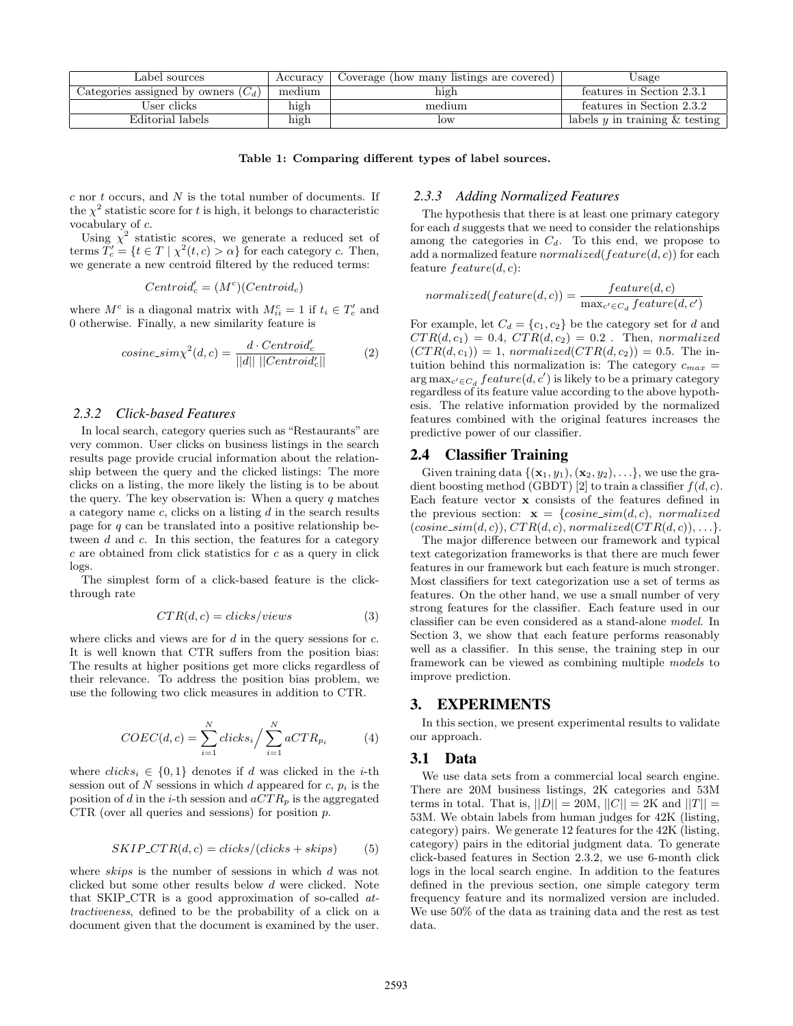| Label sources                         | Accuracy | Coverage (how many listings are covered) | Usage                               |
|---------------------------------------|----------|------------------------------------------|-------------------------------------|
| Categories assigned by owners $(C_d)$ | medium   | high                                     | features in Section 2.3.1           |
| User clicks                           | high     | medium                                   | features in Section 2.3.2           |
| Editorial labels                      | high     | low                                      | labels $y$ in training $\&$ testing |

Table 1: Comparing different types of label sources.

 $c$  nor  $t$  occurs, and  $N$  is the total number of documents. If the  $\chi^2$  statistic score for t is high, it belongs to characteristic vocabulary of c.

Using  $\chi^2$  statistic scores, we generate a reduced set of terms  $T_c' = \{t \in T \mid \chi^2(t, c) > \alpha\}$  for each category c. Then, we generate a new centroid filtered by the reduced terms:

$$
Centroid'_c = (M^c)(Centroid_c)
$$

where  $M^c$  is a diagonal matrix with  $M_{ii}^c = 1$  if  $t_i \in T_c'$  and 0 otherwise. Finally, a new similarity feature is

$$
cosine\_sim\chi^2(d,c) = \frac{d \cdot Centroid'_c}{||d|| \ ||Centroid'_c||}
$$
 (2)

#### *2.3.2 Click-based Features*

In local search, category queries such as "Restaurants" are very common. User clicks on business listings in the search results page provide crucial information about the relationship between the query and the clicked listings: The more clicks on a listing, the more likely the listing is to be about the query. The key observation is: When a query  $q$  matches a category name  $c$ , clicks on a listing  $d$  in the search results page for  $q$  can be translated into a positive relationship between d and c. In this section, the features for a category  $c$  are obtained from click statistics for  $c$  as a query in click logs.

The simplest form of a click-based feature is the clickthrough rate

$$
CTR(d, c) = clicks/views
$$
\n(3)

where clicks and views are for  $d$  in the query sessions for  $c$ . It is well known that CTR suffers from the position bias: The results at higher positions get more clicks regardless of their relevance. To address the position bias problem, we use the following two click measures in addition to CTR.

$$
COEC(d, c) = \sum_{i=1}^{N} clicks_i / \sum_{i=1}^{N} aCTR_{pi} \tag{4}
$$

where  $clicks_i \in \{0,1\}$  denotes if d was clicked in the *i*-th session out of  $N$  sessions in which  $d$  appeared for  $c, p_i$  is the position of d in the *i*-th session and  $aCTR_p$  is the aggregated CTR (over all queries and sessions) for position  $p$ .

$$
SKIP\_CTR(d, c) = clicks/(clicks + skips)
$$
 (5)

where *skips* is the number of sessions in which d was not clicked but some other results below d were clicked. Note that SKIP CTR is a good approximation of so-called attractiveness, defined to be the probability of a click on a document given that the document is examined by the user.

#### *2.3.3 Adding Normalized Features*

The hypothesis that there is at least one primary category for each  $d$  suggests that we need to consider the relationships among the categories in  $C_d$ . To this end, we propose to add a normalized feature *normalized*( $feature(d, c)$ ) for each feature  $feature(d, c)$ :

$$
normalized(feature(d, c)) = \frac{feature(d, c)}{\max_{c' \in C_d} feature(d, c')}
$$

For example, let  $C_d = \{c_1, c_2\}$  be the category set for d and  $CTR(d, c_1) = 0.4, CTR(d, c_2) = 0.2$ . Then, normalized  $(CTR(d, c_1)) = 1$ , normalized $(CTR(d, c_2)) = 0.5$ . The intuition behind this normalization is: The category  $c_{max}$  =  $\arg \max_{c' \in C_d} feature(d, c')$  is likely to be a primary category regardless of its feature value according to the above hypothesis. The relative information provided by the normalized features combined with the original features increases the predictive power of our classifier.

# 2.4 Classifier Training

Given training data  $\{(\mathbf{x}_1, y_1), (\mathbf{x}_2, y_2), \ldots\}$ , we use the gradient boosting method (GBDT) [2] to train a classifier  $f(d, c)$ . Each feature vector x consists of the features defined in the previous section:  $\mathbf{x} = \{cosine\_sim(d, c), normalized\}$  $(cosine\_sim(d, c)), CTR(d, c), normalized(CTR(d, c)), \ldots$ .

The major difference between our framework and typical text categorization frameworks is that there are much fewer features in our framework but each feature is much stronger. Most classifiers for text categorization use a set of terms as features. On the other hand, we use a small number of very strong features for the classifier. Each feature used in our classifier can be even considered as a stand-alone model. In Section 3, we show that each feature performs reasonably well as a classifier. In this sense, the training step in our framework can be viewed as combining multiple models to improve prediction.

## 3. EXPERIMENTS

In this section, we present experimental results to validate our approach.

#### 3.1 Data

We use data sets from a commercial local search engine. There are 20M business listings, 2K categories and 53M terms in total. That is,  $||D|| = 20M$ ,  $||C|| = 2K$  and  $||T|| =$ 53M. We obtain labels from human judges for 42K (listing, category) pairs. We generate 12 features for the 42K (listing, category) pairs in the editorial judgment data. To generate click-based features in Section 2.3.2, we use 6-month click logs in the local search engine. In addition to the features defined in the previous section, one simple category term frequency feature and its normalized version are included. We use 50% of the data as training data and the rest as test data.